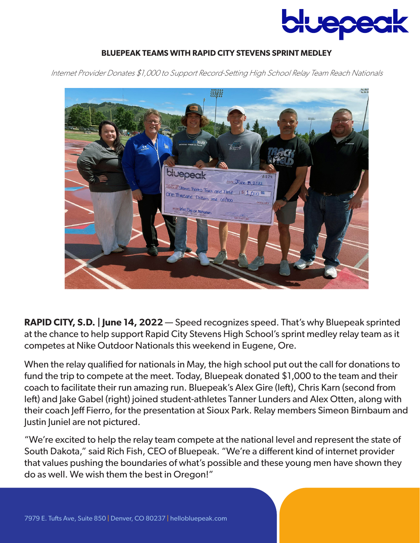

## **BLUEPEAK TEAMS WITH RAPID CITY STEVENS SPRINT MEDLEY**

Internet Provider Donates \$1,000 to Support Record-Setting High School Relay Team Reach Nationals



**RAPID CITY, S.D. | June 14, 2022** — Speed recognizes speed. That's why Bluepeak sprinted at the chance to help support Rapid City Stevens High School's sprint medley relay team as it competes at Nike Outdoor Nationals this weekend in Eugene, Ore.

When the relay qualified for nationals in May, the high school put out the call for donations to fund the trip to compete at the meet. Today, Bluepeak donated \$1,000 to the team and their coach to facilitate their run amazing run. Bluepeak's Alex Gire (left), Chris Karn (second from left) and Jake Gabel (right) joined student-athletes Tanner Lunders and Alex Otten, along with their coach Jeff Fierro, for the presentation at Sioux Park. Relay members Simeon Birnbaum and Justin Juniel are not pictured.

"We're excited to help the relay team compete at the national level and represent the state of South Dakota," said Rich Fish, CEO of Bluepeak. "We're a different kind of internet provider that values pushing the boundaries of what's possible and these young men have shown they do as well. We wish them the best in Oregon!"